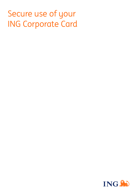# Secure use of your ING Corporate Card

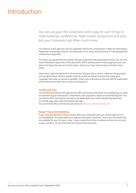# Introduction

You can use your ING Corporate Card to pay for such things as hotel bookings, conferences, flight tickets, restaurants and taxis. But your Corporate Card offers much more.

For instance, travel agencies use the Corporate Card for the convenience it offers for reservations. People are increasingly using the Card because it is an easy and secure way of making payments and business pauments.

Of course, you would like to be certain that your payments are processed correctly. You can find more information about this in this document. ING is working hard to make paying secure, now and in the future. But we can't do this alone. Stick to our basic rules to stop criminals in their tracks

These basic rules are explained in this brochure. We give tips on how to make secure payments and recognise fraud. We also explain what we as ING are doing to ensure that using your Corporate Card stays as secure as possible. There's also a glossary at the end with an explanation of the internet and other terms used in this brochure.

# **Handy and free**

Use the ING Commercial Card app and the ING Commercial Card portal. This enables you to retain an overview of your transactions, statements, total payments, balance and remaining limit. You can find the ING Commercial Card app in the Apple App Store and in Google Play (Android). To find the app, enter: ING Commercial Card app You can find the ING Commercial Card portal at: [www.ingcommercialcard.com](http://www.ingcommercialcard.com)

# **Report fraud immediately**

If you have you become a victim of fraud with your Corporate Card, you should report this to us immediately. This will enable us to help you and other customers, now and in the future. We are available for you 24 hours a day, 7 days a week from home or abroad and also via our local access numbers. You can find these at the end of this brochure.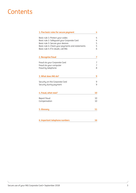# **Contents**

| 1. Five basic rules for secure payment           | 4  |
|--------------------------------------------------|----|
| Basic rule 1: Protect your codes                 | 4  |
| Basic rule 2: Safeguard your Corporate Card      | 4  |
| Basic rule 3: Secure your devices                | 5  |
| Basic rule 4: Check your payments and statements | 5  |
| Basic rule 5: If in doubt, call ING              | 6  |
| 2. Recognise fraud                               | 7  |
| Fraud via your Corporate Card                    | 7  |
| Fraud via your computer                          | 7  |
| Fraud by telephone                               | 8  |
| 3. What does ING do?                             | 9  |
| Security on the Corporate Card                   | 9  |
| Security during payment                          | 9  |
| 4. Fraud, what now?                              | 10 |
| Report fraud                                     | 10 |
| Compensation                                     | 10 |
| 5. Glossary                                      | 11 |
| 6. Important telephone numbers                   | 16 |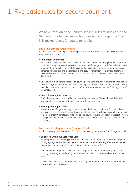# <span id="page-3-0"></span>1. Five basic rules for secure payment

We have translated the uniform security rules for banking in the Netherlands into five basic rules for using your Corporate Card. This makes it easy for you to remember.

# **Basic rule 1: Protect your codes**

You don't give your door key to a random passer-by. So don't do this with your security codes. Keep these safe and secure.

## **• Remember your codes**

For security codes/passwords, don't select date of birth, name of a family member or another code that is easy to guess. Are you afraid that you will forget your codes? Then why not make a note of them in such a way that they cannot be decoded or try to devise a mnemonic. A sentence with capitals and digits is secure and easy to remember. For example: 'Prefer U2 to Beethoven's 6th!'. If using a whole sentence doesn't fit, use the first letters of each word: 'LU2dd6evB!'

• One way to remember the PIN code of your Corporate Card is to select a word for each digit in the PIN code, with the number of letters being equal to the digit. You can then use the 4 words to make a sentence. If your PIN code is: 9246. Your sentence could then be: Edinburgh (9) is (2) very (4) lovely (6).

#### **• Don't allow anyone to watch**

Don't allow anyone to watch while you're entering your codes. Ways of doing this include screening the number pad with your body or with your free hand.

#### **• Never give out your codes**

If someone asks for your security codes or passwords, for example for the Commercial Card portal, never give these out. Your codes are strictly personal. You should never tell anyone and remember that ING employees will never ask for your security codes: not at the reception desk, not by telephone, not by email, not via another non-ING website or app and also not in any other way.

#### **Basic rule 2: Safeguard your Corporate Card**

You don't throw your wallet around. So don't do that with your Corporate Card. Safeguard it well.

#### **• Be careful with your Corporate Card**

Your Corporate Card is strictly personal. So don't lend it to anyone. Don't leave your Corporate Card lying anywhere and store it in the same secure place immediately after use. Make sure that nobody can take your Corporate Card without you realising it.

Don't hand your Corporate Card to a waiter, but go to the payment terminal yourself. If it is actually necessary to hand over your Corporate Card, check that you receive the same card back.

Check at least once a day whether you still have your Corporate Card. This is mandatory and is also stated in our conditions.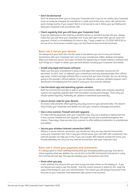# <span id="page-4-0"></span>**• Don't be distracted**

Don't be distracted when you're using your Corporate Card. If you're not careful, your Corporate Card can easily be changed, for example for a credit card of the same colour. We call this the quick-change routine. If you suspect that it is not secure to use it, follow your gut feeling and keep your Corporate Card somewhere safe.

# **• Check regularly that you still have your Corporate Card**

If you are addressed on the street by a random person or someone bumps into you, always check that you still have your Corporate Card. If you don't get it back after you've used it for payment, contact us immediately (24 hours a day, 7 days a week) on +31 (0)10 428 95 81 or via one of our local access numbers (you can find these at the end of the brochure).

# **Basic rule 3: Secure your devices**

You alwaus lock your front door. Do the same to the devices you use to carry out internet transactions with your Corporate Card, such as your smartphone, tablet, desktop and laptop. Make sure these are secure. Don't give criminals the opportunity to install malicious software and such things as a 'trojan' to obtain your personal details including your Corporate Card details.

# **• Install only legal and known software**

Make sure that your smartphone is setup so that apps from unknown sources are not permitted. So don't 'root' or 'jailbreak' your smartphone and only download apps from official app stores. Install only legal software from a source that you have checked. You can do this by going to the provider's official website. If you are offered an unknown software program, don't download it immediately but first check it using your virus scanner software.

# **• Use the latest app and operating system versions**

Both the Commercial Card app as well as your smartphone, tablet and computer operating systems are regularly updated with more and better security technologies. That's why you should update regularly. Preferably set updates to download automatically.

# **• Use an access code for your devices**

An access code prevents others gaining very easy access to your personal data. This doesn't only include your Corporate Card details, but also your contacts, messages and photos.

# **• Use a virus scanner, firewall and anti-spyware**

To make internet payments with your Corporate Card, only use a desktop or laptop that has a virus scanner, firewall and anti-spyware. This gives viruses and unsolicited programs less chance. These daus, there are also virus scanners to offer additional protection to smartphones and tablets.

# **• Secure your wireless internet connection (WiFi)**

Without a secure internet connection, you should not carry out any internet transactions using your Corporate Card. That is why you should secure your own WiFi with a password. Your internet provider can help you in this. If you use a public WiFi network outside the home, you should preferably not carry out any internet transactions with your Corporate Card.

# **Basic rule 4: Check your payments and statements**

It is always good to check carefully exactly what you are paying before you pay. And also to check regularly what was debited. You can do this via the ING Commercial Card portal or using the Commercial Card app. This app also displays your transactions real-time.

# **• Know what you pay**

Check whether the amount that you have to pay has been shown on the display or - if you are abroad and need to sign the receipt - that the correct amount is stated on this. Save the copy of the receipt for your own administration. This means you will always have proof if the amount on your Corporate Card statement later proves to be incorrect.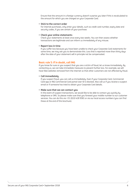<span id="page-5-0"></span>Ensure that the amount in a foreign currency doesn't surprise you later if this is recalculated to the amount for which you are charged on your Corporate Card.

# **• Stick to the correct order**

For internet purchases, only enter your details, such as credit card number, expiry date and securitu codes, if you are certain of your purchase.

# **• Check your online statements**

Check your statements at least once every two weeks. You can then assess whether transactions are legitimate and can inform us immediately of any misuse.

# **• Report loss in time**

If you suffer loss because you have been unable to check your Corporate Card statements for some time, we may ask you to demonstrate this. Loss that is reported more than thirty days after the date of your statement will in principle not be compensated.

# **Basic rule 5: If in doubt, call ING**

If you know for sure or you suspect that you are a victim of fraud, let us know immediately. By contacting us, we can take immediate measures to prevent further loss. For example, we will have fake websites removed from the internet so that other customers are not affected by fraud.

# **• Call immediately**

If you suspect fraud, you can call us immediately. Even if your Corporate Card, Commercial Card app or ING Commercial Card portal User-ID is blocked. Also call us if you receive a suspect email or if someone has tried to obtain your Corporate Card details.

# **• Make sure that we can contact you**

In the event of suspect transactions, we would like to be able to contact you quickly by telephone or SMS. So please make sure that you forward your mobile number to our customer services. You can do this via +31 (0)10 428 9581 or via our local access numbers (you can find these at the end of this brochure).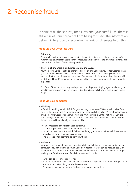# <span id="page-6-0"></span>2. Recognise fraud

In spite of all the security measures and your careful use, there is still a risk of your Corporate Card being misused. The information below will help you to recognise the various attempts to do this.

# **Fraud via your Corporate Card**

**• Skimming**

A known form of fraud is skimming; copying the credit card details that are on your card's magnetic stripe. In recent years, various measures have been taken to prevent skimming. This means that this form of fraud is less prevalent.

#### **• Theft, exchange tricks and distraction manoeuvres**

Your Corporate Cards can still be exchanged or stolen and your security codes watched while you enter them. People are also still distracted at cash dispensers, enabling criminals to escape with the cash they've just taken out. The ten euro trick is an example of this. You will be distracted by a 10 euro note on the ground while criminals take your cash from the cash dispenser.

This form of fraud occurs mostly in shops or at cash dispensers. Prying eyes stand over your shoulder watching while you enter your PIN code and criminals try to distract you in various ways.

# **Fraud via your computer**

#### **• Phishing**

In fraud via phishing, criminals fish for your security codes using SMS or email, or via a fake website. You receive an SMS or email requesting that you click on a link. Without realising, you arrive on a fake website, for example from the ING Commercial Card portal, where you are asked to log in using your security codes. You should never click on suspect links but should delete the email immediately from your mailbox.

Phishing messages can be recognised as follows:

- The message usually includes an urgent reason for action.
- You will be asked to click on a link. Without realising, you arrive on a fake website where you are asked to log in using your security codes.
- The message often seems to be from your bank.

### **• Malware**

Malware is malicious software used by criminals for such things as remote operation of your computer. They can use this to obtain your login details. Malware can be installed easily on a computer without anti-virus software and a good firewall. This often happens without you realising it. A familiar example of malicious software is a trojan.

Malware can be recognised as follows:

- Sometimes, internet pages don't quite look the same as you are used to. For example, there is an extra entry field for your telephone number.
- A computer infected by malware is slower and freezes more often.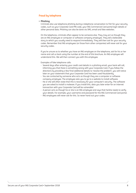# <span id="page-7-0"></span>**Fraud by telephone**

# **• Phishing**

Criminals also use telephone phishing during a telephone conversation to fish for your security codes, such as your Corporate Card PIN code, your ING Commercial Card portal login details or other personal data. Phishing can also be done via SMS, email and fake websites.

On the telephone, criminals often appear to be someone else. They may act as though they are an ING employee or computer or software company employee. They tell a believable story to which you usually need to respond immediately. They will then ask for your security codes. Remember that ING employees (or those from other companies) will never ask for your security codes.

If you're unsure as to whether you have an ING employee on the telephone, ask for his or her name and call us back using the number at the end of this brochure. An ING employee will understand this. We will then connect you with this employee.

Examples of fake telephone calls:

- Several days after entering your credit card details in a phishing email, your bank will call, informing you that there is something wrong with your Corporate Card. If you follow the directions by providing a few final additional details to 'resolve the problem', you will notice later on your statement that your Corporate Card has been used fraudulently.
- You are contacted by someone who acts as though they are a computer or software company employee. The employee asks you to go to a website to install software.
- He or she will often state that this is necessary for your computer's security. The software you are asked to install is malware. If you install this, data you later enter for an internet transaction with your Corporate Card will be vulnerable!
- A person acts as though he or she is an ING employee and says that he/she needs to verify your details. For example, your username and password for the ING Commercial Card portal.
- ING employees will never ask for this. So never hand out your codes.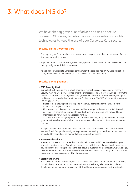# <span id="page-8-0"></span>3. What does ING do?

We have already given a lot of advice and tips on secure payment. Of course, ING also uses various invisible and visible technologies to keep the use of your Corporate Card secure.

# **Security on the Corporate Card**

- The chip on your Corporate Card and the anti-skimming device on the card entry slot of a cash dispenser prevent skimming.
- If you pay using a Corporate Card, these days, you are usually asked for your PIN code rather than your signature. This is more secure.
- As well as your Corporate Card credit card number, the card also has a CVC (Card Validation Code) on the reverse. This three-digit code provides an additional check.

# **Security during payment**

#### **• SMS Security Alert**

During high-risk transactions in which additional verification is desirable, you will receive a Security Alert via SMS a few seconds after the transaction. This SMS will ask you to confirm the transaction. Should something be incorrect, you can report this to us immediately and your credit card can be blocked quickly to prevent further misuse. The SMS will be sent from number: +44 78 60 04 74 44.

- If it concerns a known purchase, respond in the way as indicated in the SMS. No further action is then required of you.
- If it concerns an unknown purchase, respond in the wau as indicated in the SMS. ING will block your Corporate Card immediately and will send you a second SMS with additional information on how you should proceed further.

This service is free for every Corporate Card customer. The only thing that we need from you is your correct mobile number. Call our customer service to be certain that we have your correct number.

It is good to know that responding to the Security SMS has no liability consequences in the event of fraud. Your purchase will just be processed. Depending on the situation, your card can be blocked temporarily or permanently for subsequent purchases.

## **• Mastercard ID check**

Internet purchases at companies that participate in Mastercard ID check receive background protection against misuse. You will then see a screen with the text 'Processing'. In most cases, ING carries out all security checks in the background, but for some transactions, we will ask you to enter a one-off code. You will receive this code by SMS. Make it easy for yourself and us and make sure that we have your mobile phone number.

#### **• Blocking the Card**

In the event of suspect situations, ING can decide to block your Corporate Card preventatively. You will always be informed about this as quickly as possible by telephone, SMS or letter. Should you notice that your transaction didn't go through, please contact us immediately.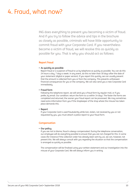# <span id="page-9-0"></span>4. Fraud, what now?

ING does everything to prevent you becoming a victim of fraud. And if you try to follow the advice and tips in the brochure as closely as possible, criminals will have little opportunity to commit fraud with your Corporate Card. If you nevertheless become a victim of fraud, we will resolve this as quickly as possible for you. That is why you should act as follows:

# **Report fraud**

# **• As quickly as possible**

Report fraud or a suspicion of fraud to us by telephone as quickly as possible. You can do this 24 hours a day, 7 days a week. In any event, do this no later than 30 days after the date of your statement (digital or paper version). If you report this quickly, we can usually prevent that the amount is collected from you or from the company. This prevents unforeseen financial consequences for you or the company. We can also send you a new Corporate Card immediately.

# **• Fraud form**

Following the telephone report, we will send you a fraud form by regular mail, or if you prefer, by email. Our condition: return the form to us within 14 days. The faster the forms are completed and returned, the sooner your fraud report can be processed. We may sometimes need extra information from you if the shopkeeper of the shop where the misuse has taken place demands this.

# **• Report**

If your Corporate Card is used fraudulently while lost, stolen, not received by you or not requested by you, you must attach a police report to your fraud form.

# **Compensation**

# **• Our policy**

If you are not to blame, fraud is always compensated. During the telephone conversation, our employee will do everything possible to ensure that you are not charged for this. In some cases (for instance if the collection order has already been sent by us), we can, however, not prevent this. We will always consult with you regarding the situation so that the compensation is arranged as quickly as possible.

The compensation will be finalised using your written statement and our investigation into the misuse of your Corporate Card. We will always inform you in writing.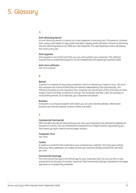# <span id="page-10-0"></span>5. Glossary

# **A**

# **Anti-skimming device**

An anti-skimming device is a device on a cash dispenser's card entry slot. This prevents criminals from using a card reader to copy credit card data. Copying credit card data is known as skimming. The anti-skimming devices can differ per cash dispenser. The cash dispenser screen will display the correct entry slot.

#### **Anti-spyware**

Anti-spyware is one of the tools that you can use to protect your computer. This software ensures that no unsolicited programs can be installed that can spread your personal data.

# **Anti-virus software**

See 'Virus scanner'

# **B**

#### **Botnet**

A botnet is a network of very many computers, which is infected by a Trojan or virus. This turns the computer into a kind of robot that can operate independently and automatically. The infected computers can be anuwhere. Your computer can also be part of this. Criminals can then assign a task to all these computers in one go. The computers are then used, for example, to send phishing emails. Or to intercept your Corporate Card details.

#### **Browser**

A browser is a computer program with which you can view internet websites. Well-known browsers are Internet Explorer, Chrome, Firefox and Safari.

# **C**

#### **Commercial Card portal**

With the ING Commercial Card portal you can view your Corporate Card statements digitally for the past 12 months. You can download the statements at a digital location requested by you. This means you don't need to archive paper versions.

#### **Computer virus**

See 'Virus'

# **Cookie**

A cookie is a small file that is placed on your computer by a website. This saves your surfing behaviour. Many webshops use cookies so that your data are already entered the next time you visit.

#### **Commercial Card app**

The Commercial Card app is the official app for your Corporate Card. You can use this to view transactions for the past 12 months. Search for 'ING Commercial Card app' download in the Apple App Store or in Google Play (Android).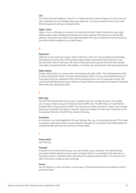# **CVC**

CVC stands for Card Validation Code. It is a 3-figure security code that appears on the reverse of your Corporate Card immediately after your signature. You may be asked for this if you make internet payments with your Corporate Card.

## **Cyber crime**

Cyber crime is criminality via internet. Criminals send emails in which they ask for your login details and/or credit card details (phishing) and create websites that look very much like ING websites. They also try to obtain your personal details from your computer via a virus that they send with another program (a so-called Trojan).

# **D**

# **Detection**

Detection is the tracking of suspect actions. ING has a team of in-house experts involved daily with payment security. We continuously analyse suspect transactions and operations. And we take action where necessary. ING works closely with police, government and other parties, nationally and internationally. This enables us to inform you quickly and in the best way possible.

#### **DdoS attack**

During a DdoS attack, an internet site is bombarded with data traffic. This undesired data traffic is obstructed by the firewall. Once the undesired data traffic is too big, the firewall becomes so busy obstructing this undesired traffic that the desired visitors can no longer get through. ING uses extremely high level security measures. These measures are designed to separate undesired data traffic from good data traffic.

# **E**

#### **EMV chip**

The EMV chip has been the chip on your Corporate Card for a number of years. This enables you to pay in shops using your Corporate Card and PIN code. The EMV chip is an international standard that is used across the world. The chip reduces credit card fraud in shops. You no longer swipe your Corporate Card along a magnetic stripe card reader, but insert your Corporate Card in the payment terminal. The EMV chip is read in this way.

#### **Extension**

An extension is an extra application for your browser that you can download yourself. This makes it possible to add new functions to your browser. Examples of an extension are Adobe Reader for reading PDF files and Flash for watching YouTube videos.

# **F**

# **False email**

See 'Phishing'

#### **Firewall**

A firewall is one of the tools that you can use to protect your computer. This software helps you prevent others gaining access to your computer when it is connected to the internet or a computer network. A firewall checks incoming and outgoing internet traffic. You will receive an alert in the event of dubious data exchange.

#### **Fraud**

You can become a victim of fraud in various ways. This brochure has been formulated to inform you about fraud.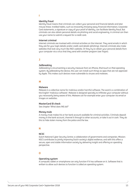# **I**

#### **Identity fraud**

Identity fraud means that criminals can collect your personal and financial details and later misuse these. Instilled habits, such as innocently throwing away financial information, Corporate Card statements, a signature or copy of your proof of identity, can facilitate identity fraud. But criminals can also obtain personal details via phishing and social engineering. A criminal can then use your name to submit a request for a credit card.

#### **Internet criminal**

Internet criminals are involved with criminal activities on the internet. They send emails in which they ask for your login details and/or credit card details (phishing). Internet criminals also make websites that look very much like ING's website. Or they try to obtain your personal details from your computer via a virus that they send with another program (see Trojan).

# **J**

#### **Jailbreaking**

Jailbreaking is circumventing a security measure from an iPhone, iPod touch or iPad operating system. By jailbreaking the device, the user can install such things as apps that are not approved by Apple. This makes such devices more vulnerable to viruses and malware.

# **M**

#### **Malware**

Malware is a collective name for malicious and/or harmful software. The word is a combination of the English 'malicious software'. Malware is designed specially to infiltrate your computer without you necessarily being aware of this. Malware can for example enter your computer via email or images on websites.

#### **MasterCard ID check**

See chapter 'What does ING do?'

#### **Money mule**

A money mule makes his or her bank account available for criminal activities. Criminals deposit money in the bank account, channel it through to other accounts, or take it out in cash. They do this to hide stolen money from the police and the law.

# **N**

# **NCSC**

Dutch National Cyber Security Centre; a collaboration of governments and companies. Mission: NSCS contributes to jointly improving Dutch society's digital resilience, and with this offers a secure, open and stable information society by delivering insight and offering an operating perspective.

# **O**

#### **Operating system**

A computer, tablet or smartphone can only function if it has software on it. Software that is written to allow such devices to function is called an operating system.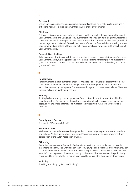# **P**

#### **Password**

Secure banking needs a strong password. A password is strong if it is not easy to guess and is difficult to hack. Use a strong password for all your online environments.

#### **Phishing**

Phishing is 'fishing' for personal data by criminals. With one goal: obtaining information about your Corporate Card and using it to carry out transactions. They can do this by email, telephone or website. You will, for example, be asked to click on a link in a fake email. The message will look misleadingly like an ING email. You will then be transferred to a fake website on which you enter your Corporate Card details. Without you noticing, criminals can now carry out transactions with your Corporate Card.

# **Preventative blocking**

To keep payment traffic secure, ING takes immediate measures in suspect situations. To protect uour Corporate Card, we may proceed to preventative blocking, for example, if we suspect that your Corporate Card has been skimmed. We will then block your credit card and try to contact you immediately.

### **R**

#### **Ransomware**

Ransomware is a blackmail method that uses malware. Ransomware is a program that blocks your computer and then demands money to 'release' the computer again. Payments (for example made with your Corporate Card) don't result in your computer being 'released' because the criminals are only after your money.

#### **Rooting**

Rooting is circumventing a security measure from an Android smartphone or Android tablet operating system. By rooting the device, the user can install such things as apps that are not approved for the Android Market. This makes such devices more vulnerable to viruses and malware.

# **S**

#### **Security Alert Service**

See chapter 'What does ING do?'

#### **Security expert**

We have a team of in-house security experts that continuously analyses suspect transactions and actions. We take action where necessary. ING works closely with police, government and parties such as the Dutch Association of Banks.

## **Skimming**

Skimming is copying your Corporate Card details by placing an extra card reader on a cash dispenser's card entry slot. Criminals can then copy your personal PIN code, after which, they can use the skimmed data to take out cash. By placing a special device on cash dispenser card entry slots, ING aims to prevent criminals from using card readers. Shopkeepers are also periodically encouraged to check whether criminals have possibly manipulated their payment terminals.

#### **Smishing**

Smishing is phishing by SMS. See 'Phishing'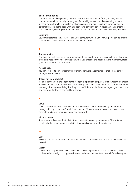# **Social engineering**

Criminals use social engineering to extract confidential information from you. They misuse human traits such as curiosity, trust, greed, fear and ignorance. Social engineering appears in many forms, from false websites to phishing emails and from telephone conversations to personal contacts at the door. Criminals get you to carry out certain actions, such as entering personal details, security codes or credit card details, clicking on a button or installing malware.

#### **Spyware**

Spyware is software that is installed on your computer without you knowing. This can be used to collect details about the user and send this to third parties.

# **T**

# **Ten euro trick**

Criminals try to distract someone who is about to take cash from the cash machine by throwing a ten euro note on the floor. They tell you that you dropped the note but in the meantime, steal your cash from the cash machine.

## **Access code**

You can set a code on your computer or smartphone/tablet/computer so that others cannot simply use your device.

#### **Trojan (or Trojan horse)**

Trojan is derived from the Trojan horse. A Trojan is a program 'disguised' as an innocent file that is installed on your computer without you knowing. This enables criminals to access your computer remotelu without you realising this. They can use Trojans to obtain such things as your username and password for the Commercial Card portal.

# **V**

# **Virus**

A virus is a harmful form of software. Viruses can cause serious damage to your computer through which you lose (confidential) information. Criminals can also use a virus to watch your computer and obtain your user name and password.

# **Virus scanner**

A virus scanner is one of the tools that you can use to protect your computer. This software checks whether your computer contains viruses and can remove these viruses.

# **W**

#### **WiFi**

WiFi is the English abbreviation for a wireless network. You can access the internet via a wireless network.

#### **Worm**

A worm tries to spread itself across networks. A worm replicates itself automatically, like in a chain reaction. Mostly, this happens via email addresses that are found on an infected computer.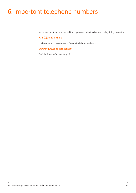# <span id="page-15-0"></span>6. Important telephone numbers

In the event of fraud or suspected fraud, you can contact us 24 hours a day, 7 days a week on

# **+31 (0)10 428 95 81**

or via our local access numbers. You can find these numbers on:

# **[www.ingwb.com/cardcontact](http://www.ingwb.com/cardcontact)**

Don't hesitate, we're here for you!